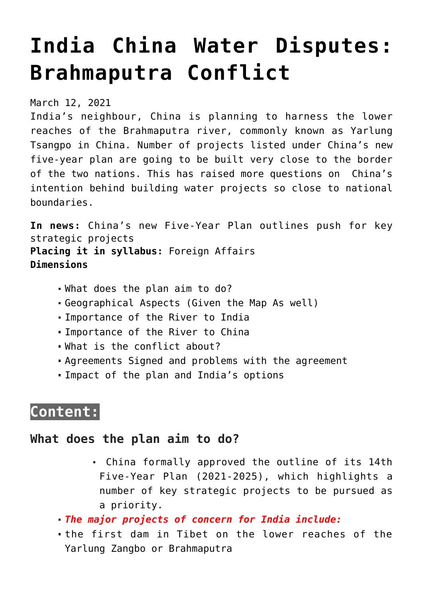# **[India China Water Disputes:](https://journalsofindia.com/india-china-water-disputes-brahmaputra-conflict/) [Brahmaputra Conflict](https://journalsofindia.com/india-china-water-disputes-brahmaputra-conflict/)**

March 12, 2021

India's neighbour, China is planning to harness the lower reaches of the Brahmaputra river, commonly known as Yarlung Tsangpo in China. Number of projects listed under China's new five-year plan are going to be built very close to the border of the two nations. This has raised more questions on China's intention behind building water projects so close to national boundaries.

**In news:** China's new Five-Year Plan outlines push for key strategic projects **Placing it in syllabus:** Foreign Affairs **Dimensions**

- What does the plan aim to do?
- Geographical Aspects (Given the Map As well)
- Importance of the River to India
- Importance of the River to China
- What is the conflict about?
- Agreements Signed and problems with the agreement
- Impact of the plan and India's options

## **Content:**

### **What does the plan aim to do?**

- China formally approved the outline of its 14th Five-Year Plan (2021-2025), which highlights a number of key strategic projects to be pursued as a priority.
- *The major projects of concern for India include:*
- the first dam in Tibet on the lower reaches of the Yarlung Zangbo or Brahmaputra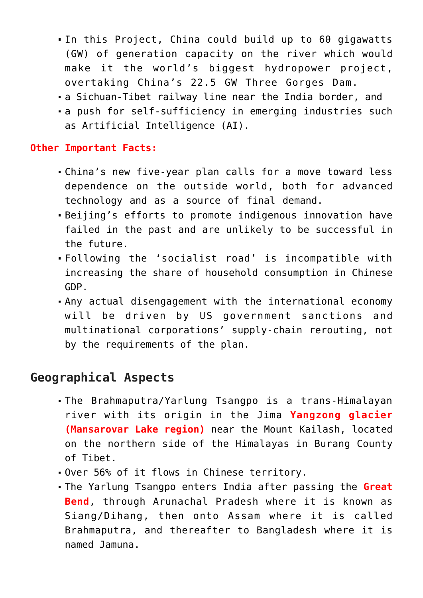- In this Project, China could build up to 60 gigawatts (GW) of generation capacity on the river which would make it the world's biggest hydropower project, overtaking China's 22.5 GW Three Gorges Dam.
- a Sichuan-Tibet railway line near the India border, and
- a push for self-sufficiency in emerging industries such as Artificial Intelligence (AI).

#### **Other Important Facts:**

- China's new five-year plan calls for a move toward less dependence on the outside world, both for advanced technology and as a source of final demand.
- Beijing's efforts to promote indigenous innovation have failed in the past and are unlikely to be successful in the future.
- Following the 'socialist road' is incompatible with increasing the share of household consumption in Chinese GDP.
- Any actual disengagement with the international economy will be driven by US government sanctions and multinational corporations' supply-chain rerouting, not by the requirements of the plan.

## **Geographical Aspects**

- The Brahmaputra/Yarlung Tsangpo is a trans-Himalayan river with its origin in the Jima **Yangzong glacier (Mansarovar Lake region)** near the Mount Kailash, located on the northern side of the Himalayas in Burang County of Tibet.
- Over 56% of it flows in Chinese territory.
- The Yarlung Tsangpo enters India after passing the **Great Bend**, through Arunachal Pradesh where it is known as Siang/Dihang, then onto Assam where it is called Brahmaputra, and thereafter to Bangladesh where it is named Jamuna.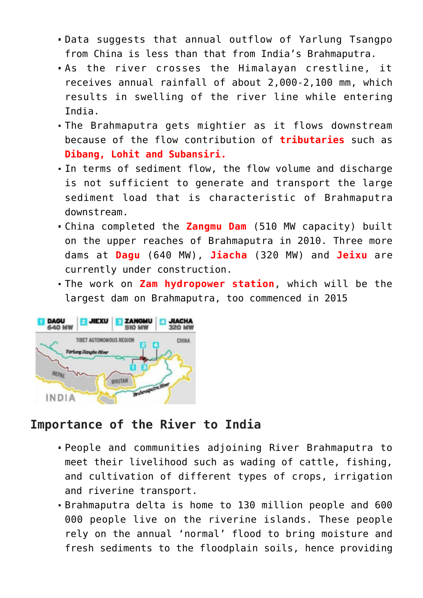- Data suggests that annual outflow of Yarlung Tsangpo from China is less than that from India's Brahmaputra.
- As the river crosses the Himalayan crestline, it receives annual rainfall of about 2,000-2,100 mm, which results in swelling of the river line while entering India.
- The Brahmaputra gets mightier as it flows downstream because of the flow contribution of **tributaries** such as **Dibang, Lohit and Subansiri.**
- In terms of sediment flow, the flow volume and discharge is not sufficient to generate and transport the large sediment load that is characteristic of Brahmaputra downstream.
- China completed the **Zangmu Dam** (510 MW capacity) built on the upper reaches of Brahmaputra in 2010. Three more dams at **Dagu** (640 MW), **Jiacha** (320 MW) and **Jeixu** are currently under construction.
- The work on **Zam hydropower station**, which will be the largest dam on Brahmaputra, too commenced in 2015



## **Importance of the River to India**

- People and communities adjoining River Brahmaputra to meet their livelihood such as wading of cattle, fishing, and cultivation of different types of crops, irrigation and riverine transport.
- Brahmaputra delta is home to 130 million people and 600 000 people live on the riverine islands. These people rely on the annual 'normal' flood to bring moisture and fresh sediments to the floodplain soils, hence providing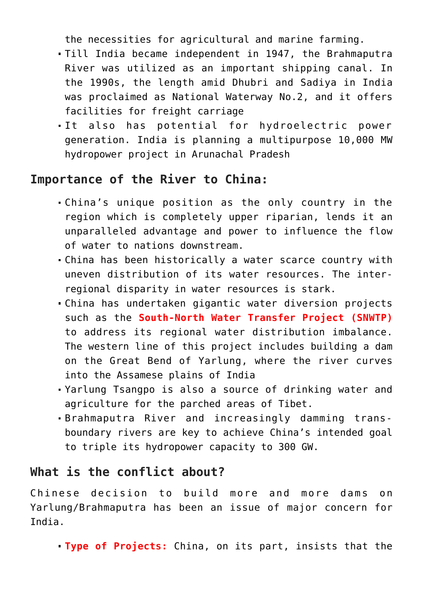the necessities for agricultural and marine farming.

- Till India became independent in 1947, the Brahmaputra River was utilized as an important shipping canal. In the 1990s, the length amid Dhubri and Sadiya in India was proclaimed as National Waterway No.2, and it offers facilities for freight carriage
- It also has potential for hydroelectric power generation. India is planning a multipurpose 10,000 MW hydropower project in Arunachal Pradesh

### **Importance of the River to China:**

- China's unique position as the only country in the region which is completely upper riparian, lends it an unparalleled advantage and power to influence the flow of water to nations downstream.
- China has been historically a water scarce country with uneven distribution of its water resources. The interregional disparity in water resources is stark.
- China has undertaken gigantic water diversion projects such as the **South-North Water Transfer Project (SNWTP)** to address its regional water distribution imbalance. The western line of this project includes building a dam on the Great Bend of Yarlung, where the river curves into the Assamese plains of India
- Yarlung Tsangpo is also a source of drinking water and agriculture for the parched areas of Tibet.
- Brahmaputra River and increasingly damming transboundary rivers are key to achieve China's intended goal to triple its hydropower capacity to 300 GW.

### **What is the conflict about?**

Chinese decision to build more and more dams on Yarlung/Brahmaputra has been an issue of major concern for India.

**Type of Projects:** China, on its part, insists that the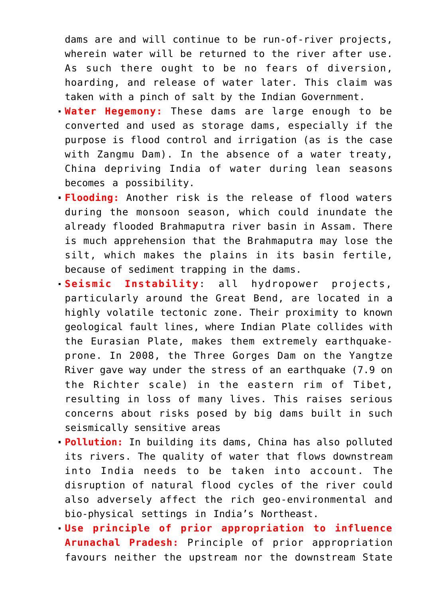dams are and will continue to be run-of-river projects, wherein water will be returned to the river after use. As such there ought to be no fears of diversion, hoarding, and release of water later. This claim was taken with a pinch of salt by the Indian Government.

- **Water Hegemony:** These dams are large enough to be converted and used as storage dams, especially if the purpose is flood control and irrigation (as is the case with Zangmu Dam). In the absence of a water treaty, China depriving India of water during lean seasons becomes a possibility.
- **Flooding:** Another risk is the release of flood waters during the monsoon season, which could inundate the already flooded Brahmaputra river basin in Assam. There is much apprehension that the Brahmaputra may lose the silt, which makes the plains in its basin fertile, because of sediment trapping in the dams.
- **Seismic Instability**: all hydropower projects, particularly around the Great Bend, are located in a highly volatile tectonic zone. Their proximity to known geological fault lines, where Indian Plate collides with the Eurasian Plate, makes them extremely earthquakeprone. In 2008, the Three Gorges Dam on the Yangtze River gave way under the stress of an earthquake (7.9 on the Richter scale) in the eastern rim of Tibet, resulting in loss of many lives. This raises serious concerns about risks posed by big dams built in such seismically sensitive areas
- **Pollution:** In building its dams, China has also polluted its rivers. The quality of water that flows downstream into India needs to be taken into account. The disruption of natural flood cycles of the river could also adversely affect the rich geo-environmental and bio-physical settings in India's Northeast.
- **Use principle of prior appropriation to influence Arunachal Pradesh:** Principle of prior appropriation favours neither the upstream nor the downstream State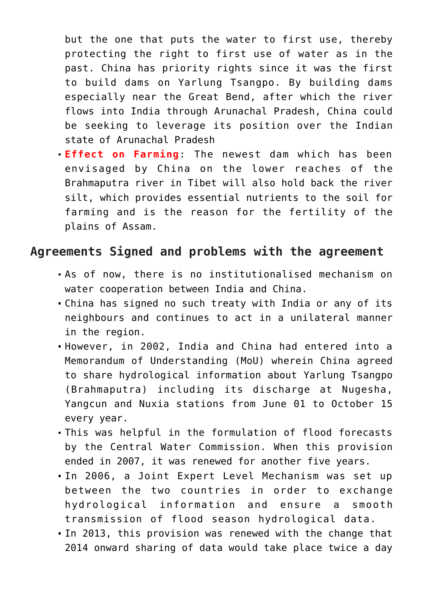but the one that puts the water to first use, thereby protecting the right to first use of water as in the past. China has priority rights since it was the first to build dams on Yarlung Tsangpo. By building dams especially near the Great Bend, after which the river flows into India through Arunachal Pradesh, China could be seeking to leverage its position over the Indian state of Arunachal Pradesh

**Effect on Farming**: The newest dam which has been envisaged by China on the lower reaches of the Brahmaputra river in Tibet will also hold back the river silt, which provides essential nutrients to the soil for farming and is the reason for the fertility of the plains of Assam.

### **Agreements Signed and problems with the agreement**

- As of now, there is no institutionalised mechanism on water cooperation between India and China.
- China has signed no such treaty with India or any of its neighbours and continues to act in a unilateral manner in the region.
- However, in 2002, India and China had entered into a Memorandum of Understanding (MoU) wherein China agreed to share hydrological information about Yarlung Tsangpo (Brahmaputra) including its discharge at Nugesha, Yangcun and Nuxia stations from June 01 to October 15 every year.
- This was helpful in the formulation of flood forecasts by the Central Water Commission. When this provision ended in 2007, it was renewed for another five years.
- In 2006, a Joint Expert Level Mechanism was set up between the two countries in order to exchange hydrological information and ensure a smooth transmission of flood season hydrological data.
- In 2013, this provision was renewed with the change that 2014 onward sharing of data would take place twice a day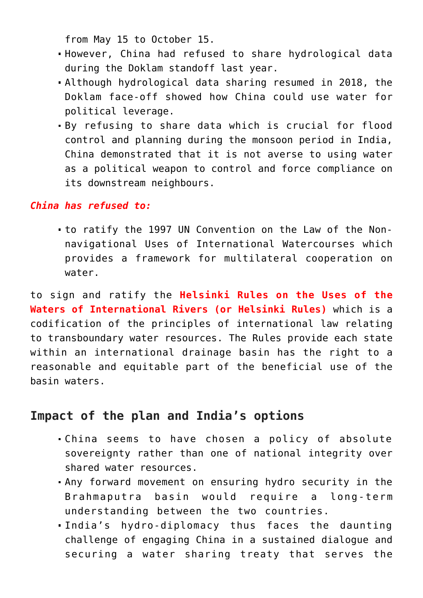from May 15 to October 15.

- However, China had refused to share hydrological data during the Doklam standoff last year.
- Although hydrological data sharing resumed in 2018, the Doklam face-off showed how China could use water for political leverage.
- By refusing to share data which is crucial for flood control and planning during the monsoon period in India, China demonstrated that it is not averse to using water as a political weapon to control and force compliance on its downstream neighbours.

#### *China has refused to:*

to ratify the 1997 UN Convention on the Law of the Nonnavigational Uses of International Watercourses which provides a framework for multilateral cooperation on water.

to sign and ratify the **Helsinki Rules on the Uses of the Waters of International Rivers (or Helsinki Rules)** which is a codification of the principles of international law relating to transboundary water resources. The Rules provide each state within an international drainage basin has the right to a reasonable and equitable part of the beneficial use of the basin waters.

### **Impact of the plan and India's options**

- China seems to have chosen a policy of absolute sovereignty rather than one of national integrity over shared water resources.
- Any forward movement on ensuring hydro security in the Brahmaputra basin would require a long-term understanding between the two countries.
- India's hydro-diplomacy thus faces the daunting challenge of engaging China in a sustained dialogue and securing a water sharing treaty that serves the